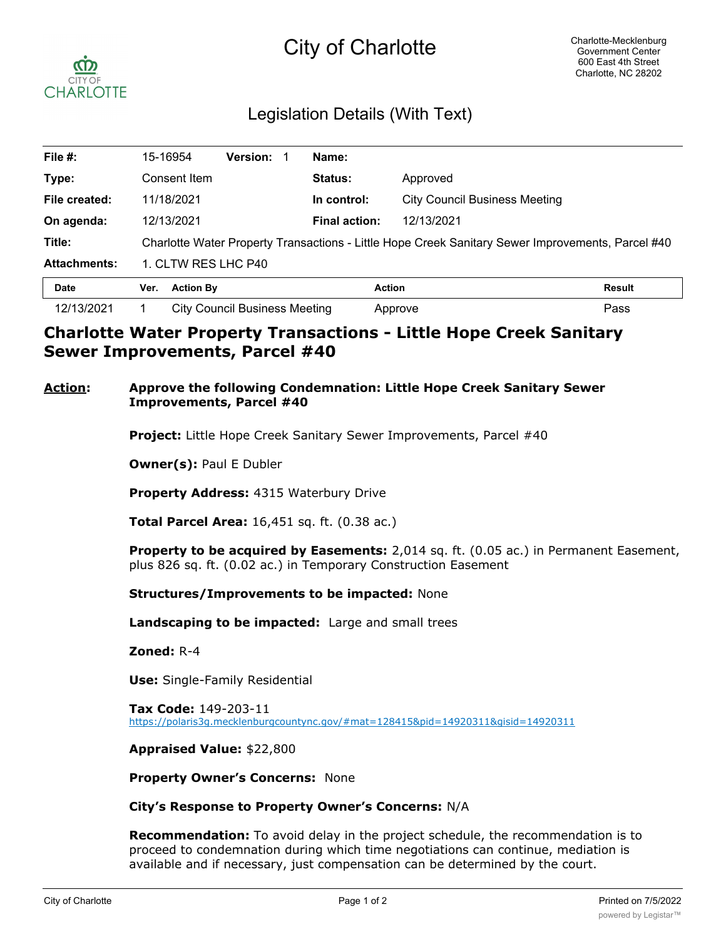# City of Charlotte



# Legislation Details (With Text)

| File $#$ :          | 15-16954                                                                                          | <b>Version:</b>  | Name:                |                               |               |
|---------------------|---------------------------------------------------------------------------------------------------|------------------|----------------------|-------------------------------|---------------|
| Type:               | Consent Item                                                                                      |                  | <b>Status:</b>       | Approved                      |               |
| File created:       | 11/18/2021                                                                                        |                  | In control:          | City Council Business Meeting |               |
| On agenda:          | 12/13/2021                                                                                        |                  | <b>Final action:</b> | 12/13/2021                    |               |
| Title:              | Charlotte Water Property Transactions - Little Hope Creek Sanitary Sewer Improvements, Parcel #40 |                  |                      |                               |               |
| <b>Attachments:</b> | 1. CLTW RES LHC P40                                                                               |                  |                      |                               |               |
| <b>Date</b>         | Ver.                                                                                              | <b>Action By</b> | <b>Action</b>        |                               | <b>Result</b> |
| 12/13/2021          | <b>City Council Business Meeting</b>                                                              |                  |                      | Approve                       | Pass          |

## **Charlotte Water Property Transactions - Little Hope Creek Sanitary Sewer Improvements, Parcel #40**

## **Action: Approve the following Condemnation: Little Hope Creek Sanitary Sewer Improvements, Parcel #40**

**Project:** Little Hope Creek Sanitary Sewer Improvements, Parcel #40

**Owner(s):** Paul E Dubler

**Property Address:** 4315 Waterbury Drive

**Total Parcel Area:** 16,451 sq. ft. (0.38 ac.)

**Property to be acquired by Easements:** 2,014 sq. ft. (0.05 ac.) in Permanent Easement, plus 826 sq. ft. (0.02 ac.) in Temporary Construction Easement

**Structures/Improvements to be impacted:** None

**Landscaping to be impacted:** Large and small trees

**Zoned:** R-4

**Use:** Single-Family Residential

**Tax Code:** 149-203-11 https://polaris3g.mecklenburgcountync.gov/#mat=128415&pid=14920311&gisid=14920311

### **Appraised Value:** \$22,800

**Property Owner's Concerns:** None

### **City's Response to Property Owner's Concerns:** N/A

**Recommendation:** To avoid delay in the project schedule, the recommendation is to proceed to condemnation during which time negotiations can continue, mediation is available and if necessary, just compensation can be determined by the court.